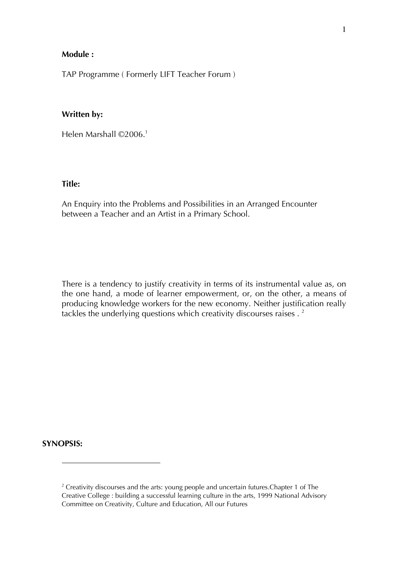## **Module :**

TAP Programme ( Formerly LIFT Teacher Forum )

## **Written by:**

Helen Marshall ©2006.<sup>1</sup>

## **Title:**

An Enquiry into the Problems and Possibilities in an Arranged Encounter between a Teacher and an Artist in a Primary School.

There is a tendency to justify creativity in terms of its instrumental value as, on the one hand, a mode of learner empowerment, or, on the other, a means of producing knowledge workers for the new economy. Neither justification really tackles the underlying questions which creativity discourses raises . <sup>2</sup>

#### **SYNOPSIS:**

 $2$  Creativity discourses and the arts: young people and uncertain futures. Chapter 1 of The Creative College : building a successful learning culture in the arts, 1999 National Advisory Committee on Creativity, Culture and Education, All our Futures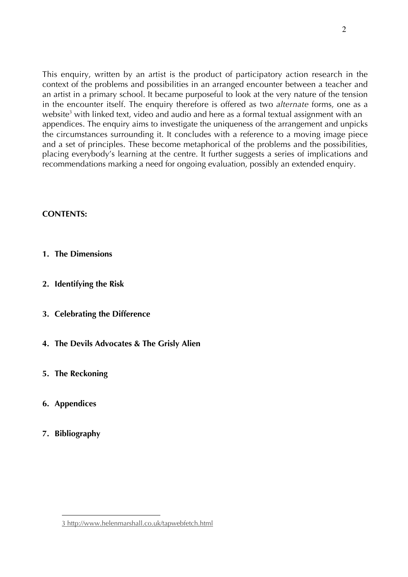This enquiry, written by an artist is the product of participatory action research in the context of the problems and possibilities in an arranged encounter between a teacher and an artist in a primary school. It became purposeful to look at the very nature of the tension in the encounter itself. The enquiry therefore is offered as two *alternate* forms, one as a website<sup>3</sup> with linked text, video and audio and here as a formal textual assignment with an appendices. The enquiry aims to investigate the uniqueness of the arrangement and unpicks the circumstances surrounding it. It concludes with a reference to a moving image piece and a set of principles. These become metaphorical of the problems and the possibilities, placing everybody's learning at the centre. It further suggests a series of implications and recommendations marking a need for ongoing evaluation, possibly an extended enquiry.

# **CONTENTS:**

- **1. The Dimensions**
- **2. Identifying the Risk**
- **3. Celebrating the Difference**
- **4. The Devils Advocates & The Grisly Alien**
- **5. The Reckoning**
- **6. Appendices**
- **7. Bibliography**

 $\overline{a}$ 3 http://www.helenmarshall.co.uk/tapwebfetch.html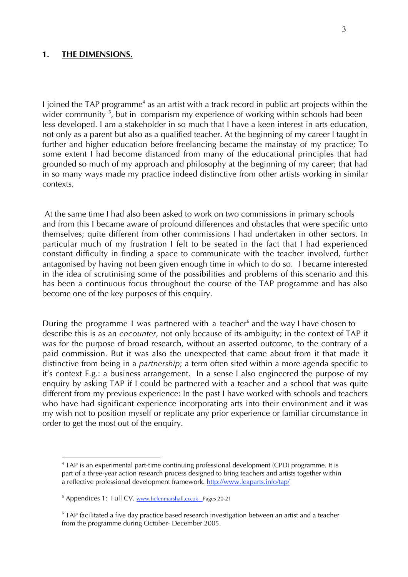## **1. THE DIMENSIONS.**

I joined the TAP programme<sup>4</sup> as an artist with a track record in public art projects within the wider community <sup>5</sup>, but in comparism my experience of working within schools had been less developed. I am a stakeholder in so much that I have a keen interest in arts education, not only as a parent but also as a qualified teacher. At the beginning of my career I taught in further and higher education before freelancing became the mainstay of my practice; To some extent I had become distanced from many of the educational principles that had grounded so much of my approach and philosophy at the beginning of my career; that had in so many ways made my practice indeed distinctive from other artists working in similar contexts.

 At the same time I had also been asked to work on two commissions in primary schools and from this I became aware of profound differences and obstacles that were specific unto themselves; quite different from other commissions I had undertaken in other sectors. In particular much of my frustration I felt to be seated in the fact that I had experienced constant difficulty in finding a space to communicate with the teacher involved, further antagonised by having not been given enough time in which to do so. I became interested in the idea of scrutinising some of the possibilities and problems of this scenario and this has been a continuous focus throughout the course of the TAP programme and has also become one of the key purposes of this enquiry.

During the programme I was partnered with a teacher<sup>6</sup> and the way I have chosen to describe this is as an *encounter*, not only because of its ambiguity; in the context of TAP it was for the purpose of broad research, without an asserted outcome, to the contrary of a paid commission. But it was also the unexpected that came about from it that made it distinctive from being in a *partnership*; a term often sited within a more agenda specific to it's context E.g.: a business arrangement. In a sense I also engineered the purpose of my enquiry by asking TAP if I could be partnered with a teacher and a school that was quite different from my previous experience: In the past I have worked with schools and teachers who have had significant experience incorporating arts into their environment and it was my wish not to position myself or replicate any prior experience or familiar circumstance in order to get the most out of the enquiry.

<sup>&</sup>lt;sup>4</sup> TAP is an experimental part-time continuing professional development (CPD) programme. It is part of a three-year action research process designed to bring teachers and artists together within a reflective professional development framework. http://www.leaparts.info/tap/

<sup>&</sup>lt;sup>5</sup> Appendices 1: Full CV. www.helenmarshall.co.uk Pages 20-21

<sup>&</sup>lt;sup>6</sup> TAP facilitated a five day practice based research investigation between an artist and a teacher from the programme during October- December 2005.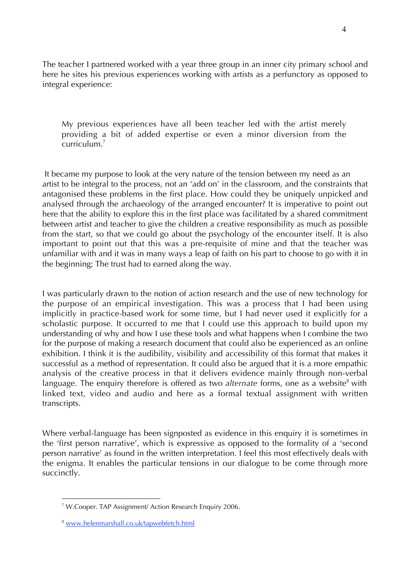The teacher I partnered worked with a year three group in an inner city primary school and here he sites his previous experiences working with artists as a perfunctory as opposed to integral experience:

My previous experiences have all been teacher led with the artist merely providing a bit of added expertise or even a minor diversion from the curriculum.7

 It became my purpose to look at the very nature of the tension between my need as an artist to be integral to the process, not an 'add on' in the classroom, and the constraints that antagonised these problems in the first place. How could they be uniquely unpicked and analysed through the archaeology of the arranged encounter? It is imperative to point out here that the ability to explore this in the first place was facilitated by a shared commitment between artist and teacher to give the children a creative responsibility as much as possible from the start, so that we could go about the psychology of the encounter itself. It is also important to point out that this was a pre-requisite of mine and that the teacher was unfamiliar with and it was in many ways a leap of faith on his part to choose to go with it in the beginning; The trust had to earned along the way.

I was particularly drawn to the notion of action research and the use of new technology for the purpose of an empirical investigation. This was a process that I had been using implicitly in practice-based work for some time, but I had never used it explicitly for a scholastic purpose. It occurred to me that I could use this approach to build upon my understanding of why and how I use these tools and what happens when I combine the two for the purpose of making a research document that could also be experienced as an online exhibition. I think it is the audibility, visibility and accessibility of this format that makes it successful as a method of representation. It could also be argued that it is a more empathic analysis of the creative process in that it delivers evidence mainly through non-verbal language. The enquiry therefore is offered as two *alternate* forms, one as a website<sup>8</sup> with linked text, video and audio and here as a formal textual assignment with written transcripts.

Where verbal-language has been signposted as evidence in this enquiry it is sometimes in the 'first person narrative', which is expressive as opposed to the formality of a 'second person narrative' as found in the written interpretation. I feel this most effectively deals with the enigma. It enables the particular tensions in our dialogue to be come through more succinctly.

 $\overline{a}$ <sup>7</sup> W.Cooper. TAP Assignment/ Action Research Enquiry 2006.

<sup>8</sup> www.helenmarshall.co.uk/tapwebfetch.html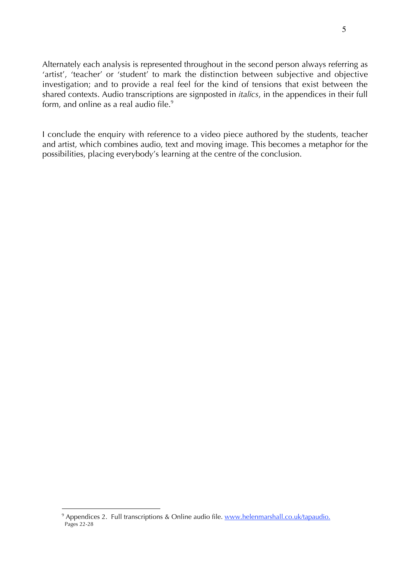Alternately each analysis is represented throughout in the second person always referring as 'artist', 'teacher' or 'student' to mark the distinction between subjective and objective investigation; and to provide a real feel for the kind of tensions that exist between the shared contexts. Audio transcriptions are signposted in *italics*, in the appendices in their full form, and online as a real audio file.<sup>9</sup>

I conclude the enquiry with reference to a video piece authored by the students, teacher and artist, which combines audio, text and moving image. This becomes a metaphor for the possibilities, placing everybody's learning at the centre of the conclusion.

<sup>9&</sup>lt;br>Perfective Appendices 2. Full transcriptions & Online audio file. www.helenmarshall.co.uk/tapaudio. Pages 22-28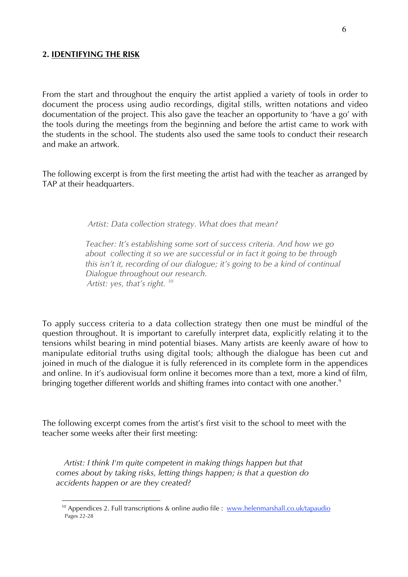## **2. IDENTIFYING THE RISK**

 $\overline{a}$ 

From the start and throughout the enquiry the artist applied a variety of tools in order to document the process using audio recordings, digital stills, written notations and video documentation of the project. This also gave the teacher an opportunity to 'have a go' with the tools during the meetings from the beginning and before the artist came to work with the students in the school. The students also used the same tools to conduct their research and make an artwork.

The following excerpt is from the first meeting the artist had with the teacher as arranged by TAP at their headquarters.

 *Artist: Data collection strategy. What does that mean?*

 *Teacher: It's establishing some sort of success criteria. And how we go about collecting it so we are successful or in fact it going to be through this isn't it, recording of our dialogue; it's going to be a kind of continual Dialogue throughout our research. Artist: yes, that's right. 10*

To apply success criteria to a data collection strategy then one must be mindful of the question throughout. It is important to carefully interpret data, explicitly relating it to the tensions whilst bearing in mind potential biases. Many artists are keenly aware of how to manipulate editorial truths using digital tools; although the dialogue has been cut and joined in much of the dialogue it is fully referenced in its complete form in the appendices and online. In it's audiovisual form online it becomes more than a text, more a kind of film, bringing together different worlds and shifting frames into contact with one another.<sup>9</sup>

The following excerpt comes from the artist's first visit to the school to meet with the teacher some weeks after their first meeting:

 *Artist: I think I'm quite competent in making things happen but that comes about by taking risks, letting things happen; is that a question do accidents happen or are they created?* 

<sup>&</sup>lt;sup>10</sup> Appendices 2. Full transcriptions & online audio file : www.helenmarshall.co.uk/tapaudio Pages 22-28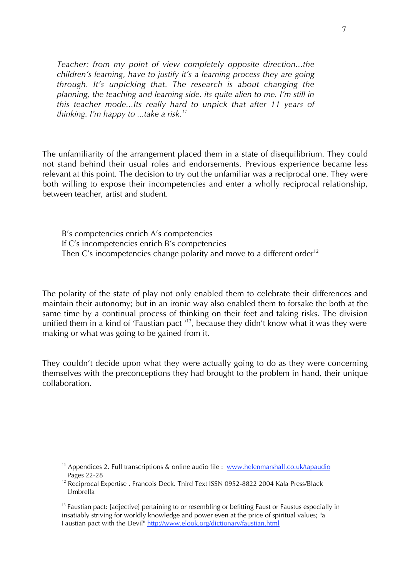*Teacher: from my point of view completely opposite direction...the children's learning, have to justify it's a learning process they are going through. It's unpicking that. The research is about changing the planning, the teaching and learning side. its quite alien to me. I'm still in this teacher mode...Its really hard to unpick that after 11 years of thinking. I'm happy to ...take a risk.11*

The unfamiliarity of the arrangement placed them in a state of disequilibrium. They could not stand behind their usual roles and endorsements. Previous experience became less relevant at this point. The decision to try out the unfamiliar was a reciprocal one. They were both willing to expose their incompetencies and enter a wholly reciprocal relationship, between teacher, artist and student.

B's competencies enrich A's competencies If C's incompetencies enrich B's competencies Then C's incompetencies change polarity and move to a different order<sup>12</sup>

The polarity of the state of play not only enabled them to celebrate their differences and maintain their autonomy; but in an ironic way also enabled them to forsake the both at the same time by a continual process of thinking on their feet and taking risks. The division unified them in a kind of 'Faustian pact '<sup>13</sup>, because they didn't know what it was they were making or what was going to be gained from it.

They couldn't decide upon what they were actually going to do as they were concerning themselves with the preconceptions they had brought to the problem in hand, their unique collaboration.

<sup>&</sup>lt;sup>11</sup> Appendices 2. Full transcriptions & online audio file : <u>www.helenmarshall.co.uk/tapaudio</u> Pages 22-28

<sup>&</sup>lt;sup>12</sup> Reciprocal Expertise . Francois Deck. Third Text ISSN 0952-8822 2004 Kala Press/Black Umbrella

<sup>&</sup>lt;sup>13</sup> Faustian pact: [adjective] pertaining to or resembling or befitting Faust or Faustus especially in insatiably striving for worldly knowledge and power even at the price of spiritual values; "a Faustian pact with the Devil" http://www.elook.org/dictionary/faustian.html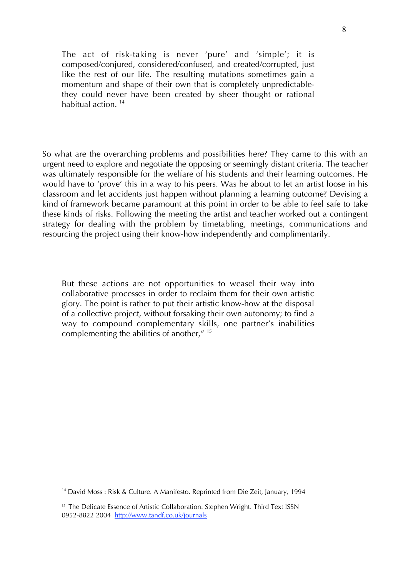The act of risk-taking is never 'pure' and 'simple'; it is composed/conjured, considered/confused, and created/corrupted, just like the rest of our life. The resulting mutations sometimes gain a momentum and shape of their own that is completely unpredictablethey could never have been created by sheer thought or rational habitual action<sup>14</sup>

So what are the overarching problems and possibilities here? They came to this with an urgent need to explore and negotiate the opposing or seemingly distant criteria. The teacher was ultimately responsible for the welfare of his students and their learning outcomes. He would have to 'prove' this in a way to his peers. Was he about to let an artist loose in his classroom and let accidents just happen without planning a learning outcome? Devising a kind of framework became paramount at this point in order to be able to feel safe to take these kinds of risks. Following the meeting the artist and teacher worked out a contingent strategy for dealing with the problem by timetabling, meetings, communications and resourcing the project using their know-how independently and complimentarily.

But these actions are not opportunities to weasel their way into collaborative processes in order to reclaim them for their own artistic glory. The point is rather to put their artistic know-how at the disposal of a collective project, without forsaking their own autonomy; to find a way to compound complementary skills, one partner's inabilities complementing the abilities of another," 15

 $\overline{a}$ <sup>14</sup> David Moss : Risk & Culture. A Manifesto. Reprinted from Die Zeit, January, 1994

<sup>&</sup>lt;sup>15</sup> The Delicate Essence of Artistic Collaboration. Stephen Wright. Third Text ISSN 0952-8822 2004 http://www.tandf.co.uk/journals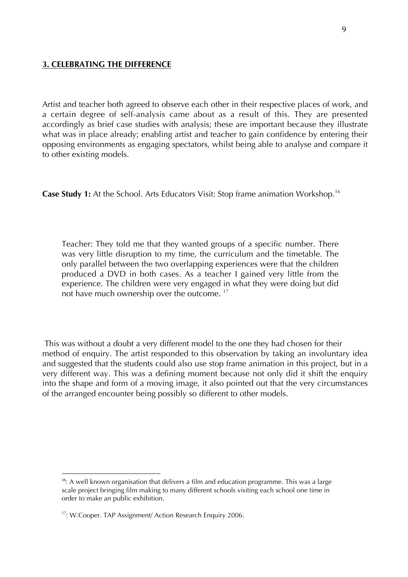## **3. CELEBRATING THE DIFFERENCE**

Artist and teacher both agreed to observe each other in their respective places of work, and a certain degree of self-analysis came about as a result of this. They are presented accordingly as brief case studies with analysis; these are important because they illustrate what was in place already; enabling artist and teacher to gain confidence by entering their opposing environments as engaging spectators, whilst being able to analyse and compare it to other existing models.

**Case Study 1:** At the School. Arts Educators Visit: Stop frame animation Workshop.16

Teacher: They told me that they wanted groups of a specific number. There was very little disruption to my time, the curriculum and the timetable. The only parallel between the two overlapping experiences were that the children produced a DVD in both cases. As a teacher I gained very little from the experience. The children were very engaged in what they were doing but did not have much ownership over the outcome.<sup>17</sup>

 This was without a doubt a very different model to the one they had chosen for their method of enquiry. The artist responded to this observation by taking an involuntary idea and suggested that the students could also use stop frame animation in this project, but in a very different way. This was a defining moment because not only did it shift the enquiry into the shape and form of a moving image, it also pointed out that the very circumstances of the arranged encounter being possibly so different to other models.

<sup>16</sup> A well known organisation that delivers a film and education programme. This was a large scale project bringing film making to many different schools visiting each school one time in order to make an public exhibition.

<sup>&</sup>lt;sup>17</sup>: W.Cooper. TAP Assignment/ Action Research Enquiry 2006.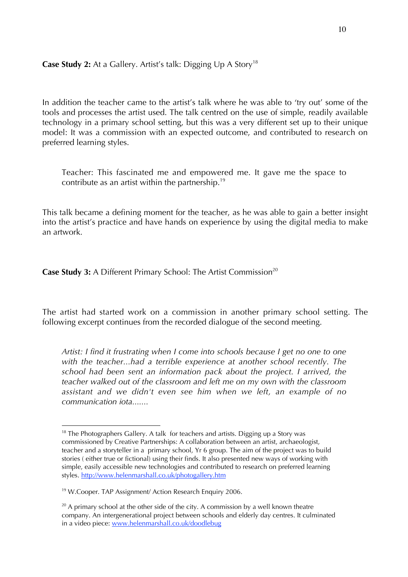# **Case Study 2:** At a Gallery. Artist's talk: Digging Up A Story<sup>18</sup>

In addition the teacher came to the artist's talk where he was able to 'try out' some of the tools and processes the artist used. The talk centred on the use of simple, readily available technology in a primary school setting, but this was a very different set up to their unique model: It was a commission with an expected outcome, and contributed to research on preferred learning styles.

Teacher: This fascinated me and empowered me. It gave me the space to contribute as an artist within the partnership.19

This talk became a defining moment for the teacher, as he was able to gain a better insight into the artist's practice and have hands on experience by using the digital media to make an artwork.

**Case Study 3:** A Different Primary School: The Artist Commission<sup>20</sup>

The artist had started work on a commission in another primary school setting. The following excerpt continues from the recorded dialogue of the second meeting.

*Artist: I find it frustrating when I come into schools because I get no one to one with the teacher...had a terrible experience at another school recently. The school had been sent an information pack about the project. I arrived, the teacher walked out of the classroom and left me on my own with the classroom assistant and we didn't even see him when we left, an example of no communication iota.......*

18 The Photographers Gallery. A talk for teachers and artists. Digging up a Story was commissioned by Creative Partnerships: A collaboration between an artist, archaeologist, teacher and a storyteller in a primary school, Yr 6 group. The aim of the project was to build stories ( either true or fictional) using their finds. It also presented new ways of working with simple, easily accessible new technologies and contributed to research on preferred learning styles. http://www.helenmarshall.co.uk/photogallery.htm

<sup>&</sup>lt;sup>19</sup> W.Cooper. TAP Assignment/ Action Research Enquiry 2006.

 $20$  A primary school at the other side of the city. A commission by a well known theatre company. An intergenerational project between schools and elderly day centres. It culminated in a video piece: www.helenmarshall.co.uk/doodlebug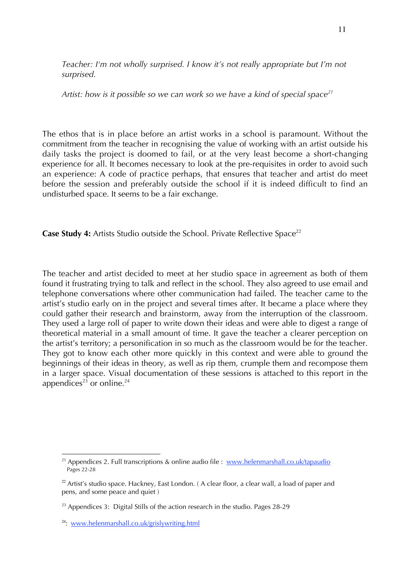*Teacher: I'm not wholly surprised. I know it's not really appropriate but I'm not surprised.*

Artist: how is it possible so we can work so we have a kind of special space<sup>21</sup>

The ethos that is in place before an artist works in a school is paramount. Without the commitment from the teacher in recognising the value of working with an artist outside his daily tasks the project is doomed to fail, or at the very least become a short-changing experience for all. It becomes necessary to look at the pre-requisites in order to avoid such an experience: A code of practice perhaps, that ensures that teacher and artist do meet before the session and preferably outside the school if it is indeed difficult to find an undisturbed space. It seems to be a fair exchange.

**Case Study 4:** Artists Studio outside the School. Private Reflective Space<sup>22</sup>

The teacher and artist decided to meet at her studio space in agreement as both of them found it frustrating trying to talk and reflect in the school. They also agreed to use email and telephone conversations where other communication had failed. The teacher came to the artist's studio early on in the project and several times after. It became a place where they could gather their research and brainstorm, away from the interruption of the classroom. They used a large roll of paper to write down their ideas and were able to digest a range of theoretical material in a small amount of time. It gave the teacher a clearer perception on the artist's territory; a personification in so much as the classroom would be for the teacher. They got to know each other more quickly in this context and were able to ground the beginnings of their ideas in theory, as well as rip them, crumple them and recompose them in a larger space. Visual documentation of these sessions is attached to this report in the appendices<sup>23</sup> or online.<sup>24</sup>

 $\overline{a}$ <sup>21</sup> Appendices 2. Full transcriptions & online audio file : www.helenmarshall.co.uk/tapaudio Pages 22-28

 $22$  Artist's studio space. Hackney, East London. (A clear floor, a clear wall, a load of paper and pens, and some peace and quiet )

 $2<sup>23</sup>$  Appendices 3: Digital Stills of the action research in the studio. Pages 28-29

<sup>&</sup>lt;sup>24</sup>: www.helenmarshall.co.uk/grislywriting.html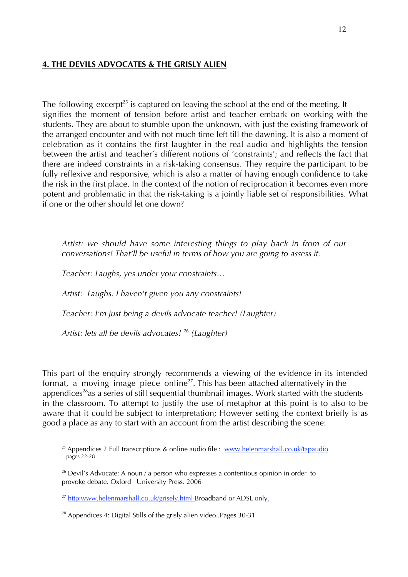# **4. THE DEVILS ADVOCATES & THE GRISLY ALIEN**

The following excerpt<sup>25</sup> is captured on leaving the school at the end of the meeting. It signifies the moment of tension before artist and teacher embark on working with the students. They are about to stumble upon the unknown, with just the existing framework of the arranged encounter and with not much time left till the dawning. It is also a moment of celebration as it contains the first laughter in the real audio and highlights the tension between the artist and teacher's different notions of 'constraints'; and reflects the fact that there are indeed constraints in a risk-taking consensus. They require the participant to be fully reflexive and responsive, which is also a matter of having enough confidence to take the risk in the first place. In the context of the notion of reciprocation it becomes even more potent and problematic in that the risk-taking is a jointly liable set of responsibilities. What if one or the other should let one down?

*Artist: we should have some interesting things to play back in from of our conversations! That'll be useful in terms of how you are going to assess it.*

*Teacher: Laughs, yes under your constraints…*

*Artist: Laughs. I haven't given you any constraints!*

*Teacher: I'm just being a devils advocate teacher! (Laughter)*

*Artist: lets all be devils advocates! 26 (Laughter)*

This part of the enquiry strongly recommends a viewing of the evidence in its intended format, a moving image piece online<sup>27</sup>. This has been attached alternatively in the appendices<sup>28</sup>as a series of still sequential thumbnail images. Work started with the students in the classroom. To attempt to justify the use of metaphor at this point is to also to be aware that it could be subject to interpretation; However setting the context briefly is as good a place as any to start with an account from the artist describing the scene:

<sup>&</sup>lt;sup>25</sup> Appendices 2 Full transcriptions & online audio file : www.helenmarshall.co.uk/tapaudio pages 22-28

<sup>&</sup>lt;sup>26</sup> Devil's Advocate: A noun / a person who expresses a contentious opinion in order to provoke debate. Oxford University Press. 2006

<sup>&</sup>lt;sup>27</sup> http:www.helenmarshall.co.uk/grisely.html Broadband or ADSL only.

 $28$  Appendices 4: Digital Stills of the grisly alien video..Pages 30-31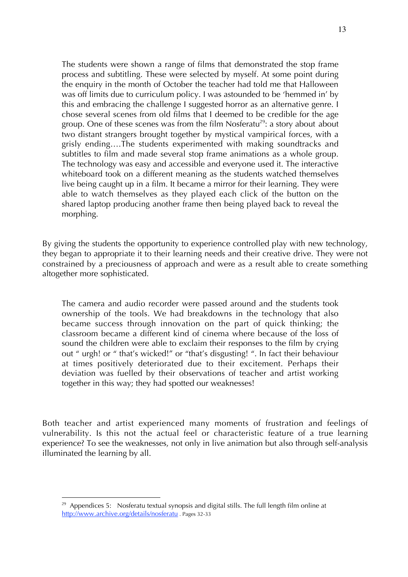The students were shown a range of films that demonstrated the stop frame process and subtitling. These were selected by myself. At some point during the enquiry in the month of October the teacher had told me that Halloween was off limits due to curriculum policy. I was astounded to be 'hemmed in' by this and embracing the challenge I suggested horror as an alternative genre. I chose several scenes from old films that I deemed to be credible for the age group. One of these scenes was from the film Nosferatu<sup>29</sup>: a story about about two distant strangers brought together by mystical vampirical forces, with a grisly ending….The students experimented with making soundtracks and subtitles to film and made several stop frame animations as a whole group. The technology was easy and accessible and everyone used it. The interactive whiteboard took on a different meaning as the students watched themselves live being caught up in a film. It became a mirror for their learning. They were able to watch themselves as they played each click of the button on the shared laptop producing another frame then being played back to reveal the morphing.

By giving the students the opportunity to experience controlled play with new technology, they began to appropriate it to their learning needs and their creative drive. They were not constrained by a preciousness of approach and were as a result able to create something altogether more sophisticated.

The camera and audio recorder were passed around and the students took ownership of the tools. We had breakdowns in the technology that also became success through innovation on the part of quick thinking; the classroom became a different kind of cinema where because of the loss of sound the children were able to exclaim their responses to the film by crying out " urgh! or " that's wicked!" or "that's disgusting! ". In fact their behaviour at times positively deteriorated due to their excitement. Perhaps their deviation was fuelled by their observations of teacher and artist working together in this way; they had spotted our weaknesses!

Both teacher and artist experienced many moments of frustration and feelings of vulnerability. Is this not the actual feel or characteristic feature of a true learning experience? To see the weaknesses, not only in live animation but also through self-analysis illuminated the learning by all.

 $29$  Appendices 5: Nosferatu textual synopsis and digital stills. The full length film online at http://www.archive.org/details/nosferatu . Pages 32-33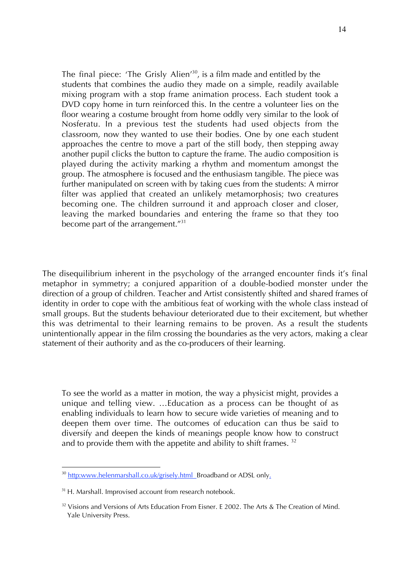The final piece: 'The Grisly Alien'<sup>30</sup>, is a film made and entitled by the students that combines the audio they made on a simple, readily available mixing program with a stop frame animation process. Each student took a DVD copy home in turn reinforced this. In the centre a volunteer lies on the floor wearing a costume brought from home oddly very similar to the look of Nosferatu. In a previous test the students had used objects from the classroom, now they wanted to use their bodies. One by one each student approaches the centre to move a part of the still body, then stepping away another pupil clicks the button to capture the frame. The audio composition is played during the activity marking a rhythm and momentum amongst the group. The atmosphere is focused and the enthusiasm tangible. The piece was further manipulated on screen with by taking cues from the students: A mirror filter was applied that created an unlikely metamorphosis; two creatures becoming one. The children surround it and approach closer and closer, leaving the marked boundaries and entering the frame so that they too become part of the arrangement."31

The disequilibrium inherent in the psychology of the arranged encounter finds it's final metaphor in symmetry; a conjured apparition of a double-bodied monster under the direction of a group of children. Teacher and Artist consistently shifted and shared frames of identity in order to cope with the ambitious feat of working with the whole class instead of small groups. But the students behaviour deteriorated due to their excitement, but whether this was detrimental to their learning remains to be proven. As a result the students unintentionally appear in the film crossing the boundaries as the very actors, making a clear statement of their authority and as the co-producers of their learning.

To see the world as a matter in motion, the way a physicist might, provides a unique and telling view. …Education as a process can be thought of as enabling individuals to learn how to secure wide varieties of meaning and to deepen them over time. The outcomes of education can thus be said to diversify and deepen the kinds of meanings people know how to construct and to provide them with the appetite and ability to shift frames.<sup>32</sup>

<sup>&</sup>lt;sup>30</sup> http:www.helenmarshall.co.uk/grisely.html\_Broadband or ADSL only.

<sup>&</sup>lt;sup>31</sup> H. Marshall. Improvised account from research notebook.

 $32$  Visions and Versions of Arts Education From Eisner. E 2002. The Arts & The Creation of Mind. Yale University Press.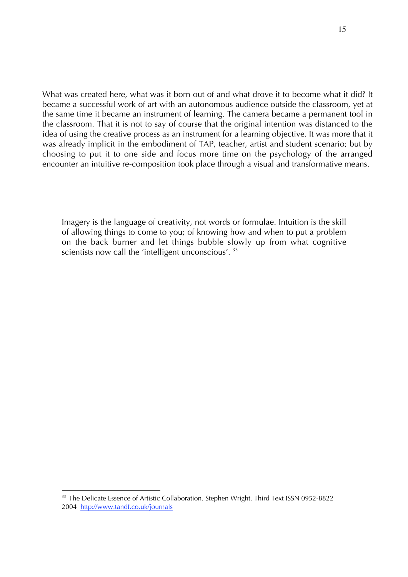What was created here, what was it born out of and what drove it to become what it did? It became a successful work of art with an autonomous audience outside the classroom, yet at the same time it became an instrument of learning. The camera became a permanent tool in the classroom. That it is not to say of course that the original intention was distanced to the idea of using the creative process as an instrument for a learning objective. It was more that it was already implicit in the embodiment of TAP, teacher, artist and student scenario; but by choosing to put it to one side and focus more time on the psychology of the arranged encounter an intuitive re-composition took place through a visual and transformative means.

Imagery is the language of creativity, not words or formulae. Intuition is the skill of allowing things to come to you; of knowing how and when to put a problem on the back burner and let things bubble slowly up from what cognitive scientists now call the 'intelligent unconscious'.<sup>33</sup>

<sup>&</sup>lt;sup>33</sup> The Delicate Essence of Artistic Collaboration. Stephen Wright. Third Text ISSN 0952-8822 2004 http://www.tandf.co.uk/journals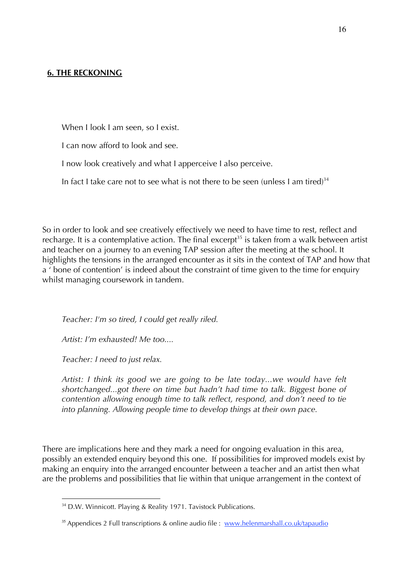## **6. THE RECKONING**

When I look I am seen, so I exist.

I can now afford to look and see.

I now look creatively and what I apperceive I also perceive.

In fact I take care not to see what is not there to be seen (unless I am tired) $34$ 

So in order to look and see creatively effectively we need to have time to rest, reflect and recharge. It is a contemplative action. The final excerpt<sup>35</sup> is taken from a walk between artist and teacher on a journey to an evening TAP session after the meeting at the school. It highlights the tensions in the arranged encounter as it sits in the context of TAP and how that a ' bone of contention' is indeed about the constraint of time given to the time for enquiry whilst managing coursework in tandem.

*Teacher: I'm so tired, I could get really riled.* 

*Artist: I'm exhausted! Me too....*

*Teacher: I need to just relax.*

 $\overline{a}$ 

*Artist: I think its good we are going to be late today...we would have felt shortchanged...got there on time but hadn't had time to talk. Biggest bone of contention allowing enough time to talk reflect, respond, and don't need to tie into planning. Allowing people time to develop things at their own pace.*

There are implications here and they mark a need for ongoing evaluation in this area, possibly an extended enquiry beyond this one. If possibilities for improved models exist by making an enquiry into the arranged encounter between a teacher and an artist then what are the problems and possibilities that lie within that unique arrangement in the context of

<sup>&</sup>lt;sup>34</sup> D.W. Winnicott. Playing & Reality 1971. Tavistock Publications.

<sup>&</sup>lt;sup>35</sup> Appendices 2 Full transcriptions & online audio file : www.helenmarshall.co.uk/tapaudio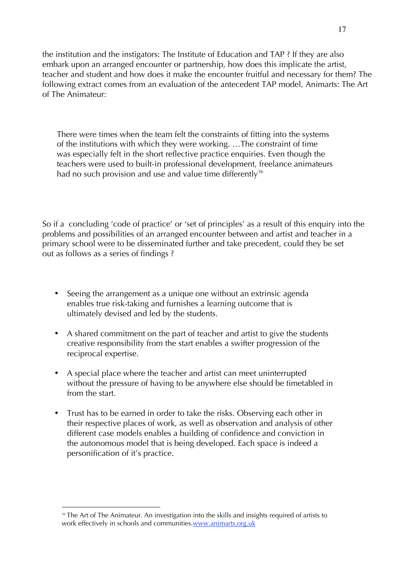the institution and the instigators: The Institute of Education and TAP ? If they are also embark upon an arranged encounter or partnership, how does this implicate the artist, teacher and student and how does it make the encounter fruitful and necessary for them? The following extract comes from an evaluation of the antecedent TAP model, Animarts: The Art of The Animateur:

There were times when the team felt the constraints of fitting into the systems of the institutions with which they were working. …The constraint of time was especially felt in the short reflective practice enquiries. Even though the teachers were used to built-in professional development, freelance animateurs had no such provision and use and value time differently<sup>36</sup>

So if a concluding 'code of practice' or 'set of principles' as a result of this enquiry into the problems and possibilities of an arranged encounter between and artist and teacher in a primary school were to be disseminated further and take precedent, could they be set out as follows as a series of findings ?

- Seeing the arrangement as a unique one without an extrinsic agenda enables true risk-taking and furnishes a learning outcome that is ultimately devised and led by the students.
- A shared commitment on the part of teacher and artist to give the students creative responsibility from the start enables a swifter progression of the reciprocal expertise.
- A special place where the teacher and artist can meet uninterrupted without the pressure of having to be anywhere else should be timetabled in from the start.
- Trust has to be earned in order to take the risks. Observing each other in their respective places of work, as well as observation and analysis of other different case models enables a building of confidence and conviction in the autonomous model that is being developed. Each space is indeed a personification of it's practice.

<sup>&</sup>lt;sup>36</sup> The Art of The Animateur. An investigation into the skills and insights required of artists to work effectively in schools and communities.www.animarts.org.uk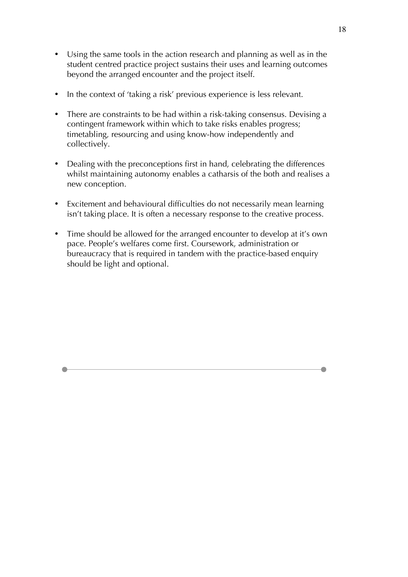- Using the same tools in the action research and planning as well as in the student centred practice project sustains their uses and learning outcomes beyond the arranged encounter and the project itself.
- In the context of 'taking a risk' previous experience is less relevant.
- There are constraints to be had within a risk-taking consensus. Devising a contingent framework within which to take risks enables progress; timetabling, resourcing and using know-how independently and collectively.
- Dealing with the preconceptions first in hand, celebrating the differences whilst maintaining autonomy enables a catharsis of the both and realises a new conception.
- Excitement and behavioural difficulties do not necessarily mean learning isn't taking place. It is often a necessary response to the creative process.
- Time should be allowed for the arranged encounter to develop at it's own pace. People's welfares come first. Coursework, administration or bureaucracy that is required in tandem with the practice-based enquiry should be light and optional.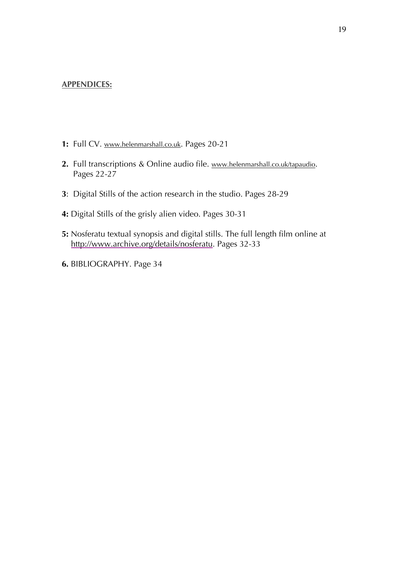#### **APPENDICES:**

- 1: Full CV. www.helenmarshall.co.uk. Pages 20-21
- **2.** Full transcriptions & Online audio file. www.helenmarshall.co.uk/tapaudio. Pages 22-27
- **3**: Digital Stills of the action research in the studio. Pages 28-29
- **4:** Digital Stills of the grisly alien video. Pages 30-31
- **5:** Nosferatu textual synopsis and digital stills. The full length film online at http://www.archive.org/details/nosferatu. Pages 32-33
- **6.** BIBLIOGRAPHY. Page 34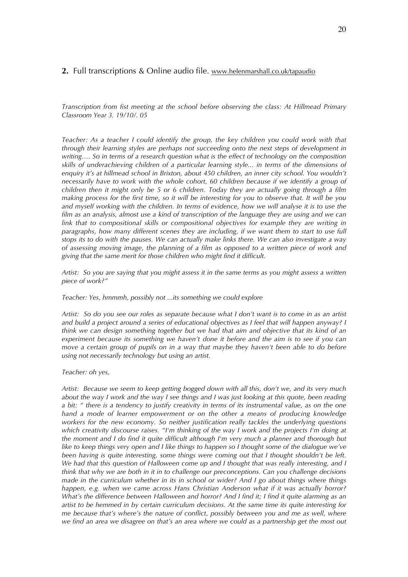#### **2.** Full transcriptions & Online audio file. www.helenmarshall.co.uk/tapaudio

*Transcription from fist meeting at the school before observing the class: At Hillmead Primary Classroom Year 3. 19/10/. 05*

*Teacher: As a teacher I could identify the group, the key children you could work with that through their learning styles are perhaps not succeeding onto the next steps of development in writing…. So in terms of a research question what is the effect of technology on the composition skills of underachieving children of a particular learning style... in terms of the dimensions of enquiry it's at hillmead school in Brixton, about 450 children, an inner city school. You wouldn't necessarily have to work with the whole cohort, 60 children because if we identify a group of children then it might only be 5 or 6 children. Today they are actually going through a film making process for the first time, so it will be interesting for you to observe that. It will be you and myself working with the children. In terms of evidence, how we will analyse it is to use the film as an analysis, almost use a kind of transcription of the language they are using and we can link that to compositional skills or compositional objectives for example they are writing in paragraphs, how many different scenes they are including, if we want them to start to use full stops its to do with the pauses. We can actually make links there. We can also investigate a way of assessing moving image, the planning of a film as opposed to a written piece of work and giving that the same merit for those children who might find it difficult.*

*Artist: So you are saying that you might assess it in the same terms as you might assess a written piece of work?"*

*Teacher: Yes, hmmmh, possibly not ...its something we could explore*

*Artist: So do you see our roles as separate because what I don't want is to come in as an artist and build a project around a series of educational objectives as I feel that will happen anyway? I think we can design something together but we had that aim and objective that its kind of an experiment because its something we haven't done it before and the aim is to see if you can move a certain group of pupils on in a way that maybe they haven't been able to do before using not necessarily technology but using an artist.*

#### *Teacher: oh yes,*

*Artist: Because we seem to keep getting bogged down with all this, don't we, and its very much about the way I work and the way I see things and I was just looking at this quote, been reading a bit: " there is a tendency to justify creativity in terms of its instrumental value, as on the one hand a mode of learner empowerment or on the other a means of producing knowledge workers for the new economy. So neither justification really tackles the underlying questions which creativity discourse raises. "I'm thinking of the way I work and the projects I'm doing at the moment and I do find it quite difficult although I'm very much a planner and thorough but like to keep things very open and I like things to happen so I thought some of the dialogue we've been having is quite interesting, some things were coming out that I thought shouldn't be left. We had that this question of Halloween come up and I thought that was really interesting, and I think that why we are both in it in to challenge our preconceptions. Can you challenge decisions made in the curriculum whether in its in school or wider? And I go about things where things happen, e.g. when we came across Hans Christian Anderson what if it was actually horror? What's the difference between Halloween and horror? And I find it; I find it quite alarming as an artist to be hemmed in by certain curriculum decisions. At the same time its quite interesting for me because that's where's the nature of conflict, possibly between you and me as well, where we find an area we disagree on that's an area where we could as a partnership get the most out*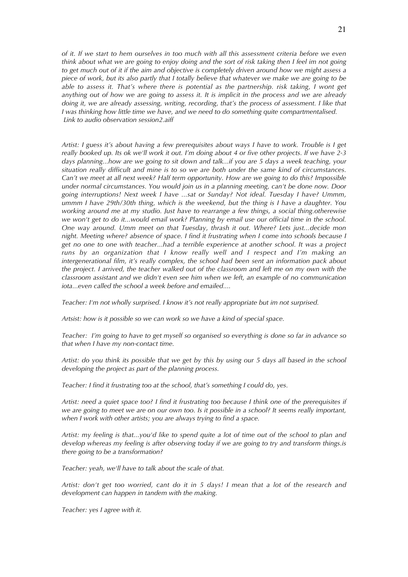*of it. If we start to hem ourselves in too much with all this assessment criteria before we even think about what we are going to enjoy doing and the sort of risk taking then I feel im not going to get much out of it if the aim and objective is completely driven around how we might assess a piece of work, but its also partly that I totally believe that whatever we make we are going to be able to assess it. That's where there is potential as the partnership. risk taking, I wont get anything out of how we are going to assess it. It is implicit in the process and we are already doing it, we are already assessing, writing, recording, that's the process of assessment. I like that I was thinking how little time we have, and we need to do something quite compartmentalised. Link to audio observation session2.aiff*

*Artist: I guess it's about having a few prerequisites about ways I have to work. Trouble is I get really booked up. Its ok we'll work it out. I'm doing about 4 or five other projects. If we have 2-3 days planning...how are we going to sit down and talk...if you are 5 days a week teaching, your situation really difficult and mine is to so we are both under the same kind of circumstances. Can't we meet at all next week? Half term opportunity. How are we going to do this? Impossible under normal circumstances. You would join us in a planning meeting, can't be done now. Door going interruptions! Next week I have ...sat or Sunday? Not ideal. Tuesday I have? Ummm, ummm I have 29th/30th thing, which is the weekend, but the thing is I have a daughter. You working around me at my studio. Just have to rearrange a few things, a social thing.otherewise we won't get to do it...would email work? Planning by email use our official time in the school. One way around. Umm meet on that Tuesday, thrash it out. Where? Lets just...decide mon night. Meeting where? absence of space. I find it frustrating when I come into schools because I get no one to one with teacher...had a terrible experience at another school. It was a project runs by an organization that I know really well and I respect and I'm making an intergenerational film, it's really complex, the school had been sent an information pack about the project. I arrived, the teacher walked out of the classroom and left me on my own with the classroom assistant and we didn't even see him when we left, an example of no communication iota...even called the school a week before and emailed....*

*Teacher: I'm not wholly surprised. I know it's not really appropriate but im not surprised.*

*Artsist: how is it possible so we can work so we have a kind of special space.*

*Teacher: I'm going to have to get myself so organised so everything is done so far in advance so that when I have my non-contact time.*

*Artist: do you think its possible that we get by this by using our 5 days all based in the school developing the project as part of the planning process.* 

*Teacher: I find it frustrating too at the school, that's something I could do, yes.*

*Artist: need a quiet space too? I find it frustrating too because I think one of the prerequisites if we are going to meet we are on our own too. Is it possible in a school? It seems really important, when I work with other artists; you are always trying to find a space.* 

*Artist: my feeling is that...you'd like to spend quite a lot of time out of the school to plan and develop whereas my feeling is after observing today if we are going to try and transform things.is there going to be a transformation?*

*Teacher: yeah, we'll have to talk about the scale of that.*

*Artist: don't get too worried, cant do it in 5 days! I mean that a lot of the research and development can happen in tandem with the making.*

*Teacher: yes I agree with it.*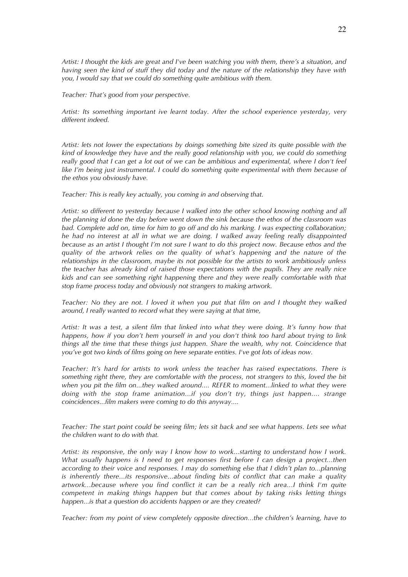*Artist: I thought the kids are great and I've been watching you with them, there's a situation, and having seen the kind of stuff they did today and the nature of the relationship they have with you, I would say that we could do something quite ambitious with them.* 

*Teacher: That's good from your perspective.*

*Artist: Its something important ive learnt today. After the school experience yesterday, very different indeed.*

*Artist: lets not lower the expectations by doings something bite sized its quite possible with the kind of knowledge they have and the really good relationship with you, we could do something really good that I can get a lot out of we can be ambitious and experimental, where I don't feel like I'm being just instrumental. I could do something quite experimental with them because of the ethos you obviously have.*

*Teacher: This is really key actually, you coming in and observing that.*

*Artist: so different to yesterday because I walked into the other school knowing nothing and all the planning id done the day before went down the sink because the ethos of the classroom was bad. Complete add on, time for him to go off and do his marking. I was expecting collaboration; he had no interest at all in what we are doing. I walked away feeling really disappointed because as an artist I thought I'm not sure I want to do this project now. Because ethos and the quality of the artwork relies on the quality of what's happening and the nature of the relationships in the classroom, maybe its not possible for the artists to work ambitiously unless the teacher has already kind of raised those expectations with the pupils. They are really nice kids and can see something right happening there and they were really comfortable with that stop frame process today and obviously not strangers to making artwork.*

*Teacher: No they are not. I loved it when you put that film on and I thought they walked around, I really wanted to record what they were saying at that time,* 

*Artist: It was a test, a silent film that linked into what they were doing. It's funny how that happens, how if you don't hem yourself in and you don't think too hard about trying to link things all the time that these things just happen. Share the wealth, why not. Coincidence that you've got two kinds of films going on here separate entities. I've got lots of ideas now.*

*Teacher: It's hard for artists to work unless the teacher has raised expectations. There is something right there, they are comfortable with the process, not strangers to this, loved the bit when you pit the film on...they walked around.... REFER to moment...linked to what they were doing with the stop frame animation...if you don't try, things just happen.... strange coincidences...film makers were coming to do this anyway....*

*Teacher: The start point could be seeing film; lets sit back and see what happens. Lets see what the children want to do with that.*

*Artist: its responsive, the only way I know how to work...starting to understand how I work. What usually happens is I need to get responses first before I can design a project...then according to their voice and responses. I may do something else that I didn't plan to...planning is inherently there...its responsive...about finding bits of conflict that can make a quality artwork...because where you find conflict it can be a really rich area...I think I'm quite competent in making things happen but that comes about by taking risks letting things happen...is that a question do accidents happen or are they created?* 

*Teacher: from my point of view completely opposite direction...the children's learning, have to*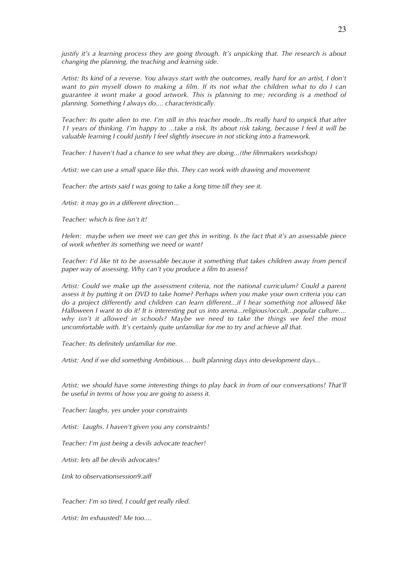*justify it's a learning process they are going through. It's unpicking that. The research is about changing the planning, the teaching and learning side.*

*Artist: Its kind of a reverse. You always start with the outcomes, really hard for an artist, I don't want to pin myself down to making a film. If its not what the children what to do I can guarantee it wont make a good artwork. This is planning to me; recording is a method of planning. Something I always do.... characteristically.*

*Teacher: Its quite alien to me. I'm still in this teacher mode...Its really hard to unpick that after 11 years of thinking. I'm happy to ...take a risk. Its about risk taking, because I feel it will be valuable learning I could justify I feel slightly insecure in not sticking into a framework.* 

*Teacher: I haven't had a chance to see what they are doing...(the filmmakers workshop)*

*Artist: we can use a small space like this. They can work with drawing and movement*

*Teacher: the artists said t was going to take a long time till they see it.* 

*Artist: it may go in a different direction...*

*Teacher: which is fine isn't it!*

*Helen: maybe when we meet we can get this in writing. Is the fact that it's an assessable piece of work whether its something we need or want?*

*Teacher: I'd like tit to be assessable because it something that takes children away from pencil paper way of assessing. Why can't you produce a film to assess?*

*Artist: Could we make up the assessment criteria, not the national curriculum? Could a parent assess it by putting it on DVD to take home? Perhaps when you make your own criteria you can do a project differently and children can learn different...if I hear something not allowed like Halloween I want to do it! It is interesting put us into arena...religious/occult...popular culture.... why isn't it allowed in schools? Maybe we need to take the things we feel the most uncomfortable with. It's certainly quite unfamiliar for me to try and achieve all that.*

*Teacher: Its definitely unfamiliar for me.*

*Artist: And if we did something Ambitious.... built planning days into development days...*

*Artist: we should have some interesting things to play back in from of our conversations! That'll be useful in terms of how you are going to assess it.*

*Teacher: laughs, yes under your constraints*

*Artist: Laughs. I haven't given you any constraints!*

*Teacher: I'm just being a devils advocate teacher!*

*Artist: lets all be devils advocates!*

*Link to observationsession9.aiff*

*Teacher: I'm so tired, I could get really riled.* 

*Artist: Im exhausted! Me too....*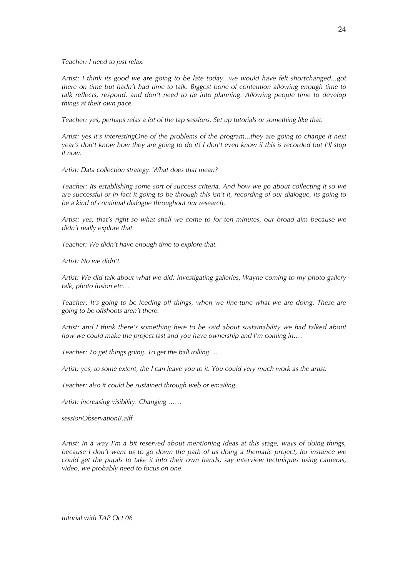*Teacher: I need to just relax.*

*Artist: I think its good we are going to be late today...we would have felt shortchanged...got there on time but hadn't had time to talk. Biggest bone of contention allowing enough time to talk reflects, respond, and don't need to tie into planning. Allowing people time to develop things at their own pace.*

*Teacher: yes, perhaps relax a lot of the tap sessions. Set up tutorials or something like that.*

*Artist: yes it's interestingOne of the problems of the program...they are going to change it next year's don't know how they are going to do it! I don't even know if this is recorded but I'll stop it now.*

*Artist: Data collection strategy. What does that mean?*

*Teacher: Its establishing some sort of success criteria. And how we go about collecting it so we are successful or in fact it going to be through this isn't it, recording of our dialogue, its going to be a kind of continual dialogue throughout our research.*

*Artist: yes, that's right so what shall we come to for ten minutes, our broad aim because we didn't really explore that.*

*Teacher: We didn't have enough time to explore that.*

*Artist: No we didn't.*

*Artist: We did talk about what we did; investigating galleries, Wayne coming to my photo gallery talk, photo fusion etc…*

*Teacher: It's going to be feeding off things, when we fine-tune what we are doing. These are going to be offshoots aren't there.*

*Artist: and I think there's something here to be said about sustainability we had talked about how we could make the project last and you have ownership and I'm coming in….*

*Teacher: To get things going. To get the ball rolling….*

*Artist: yes, to some extent, the I can leave you to it. You could very much work as the artist.*

*Teacher: also it could be sustained through web or emailing.*

*Artist: increasing visibility. Changing ……*

*sessionObservationB.aiff*

*Artist: in a way I'm a bit reserved about mentioning ideas at this stage, ways of doing things, because I don't want us to go down the path of us doing a thematic project, for instance we could get the pupils to take it into their own hands, say interview techniques using cameras, video, we probably need to focus on one.*

*tutorial with TAP Oct 06*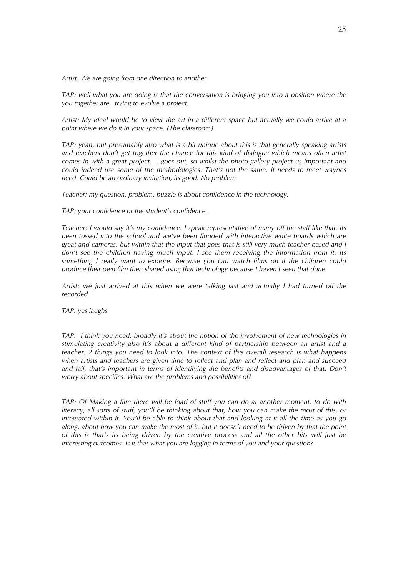*Artist: We are going from one direction to another*

*TAP: well what you are doing is that the conversation is bringing you into a position where the you together are trying to evolve a project.*

*Artist: My ideal would be to view the art in a different space but actually we could arrive at a point where we do it in your space. (The classroom)*

*TAP: yeah, but presumably also what is a bit unique about this is that generally speaking artists and teachers don't get together the chance for this kind of dialogue which means often artist comes in with a great project…. goes out, so whilst the photo gallery project us important and could indeed use some of the methodologies. That's not the same. It needs to meet waynes need. Could be an ordinary invitation, its good. No problem*

*Teacher: my question, problem, puzzle is about confidence in the technology.*

*TAP; your confidence or the student's confidence.*

*Teacher: I would say it's my confidence. I speak representative of many off the staff like that. Its been tossed into the school and we've been flooded with interactive white boards which are great and cameras, but within that the input that goes that is still very much teacher based and I don't see the children having much input. I see them receiving the information from it. Its something I really want to explore. Because you can watch films on it the children could produce their own film then shared using that technology because I haven't seen that done*

*Artist: we just arrived at this when we were talking last and actually I had turned off the recorded*

*TAP: yes laughs*

*TAP: I think you need, broadly it's about the notion of the involvement of new technologies in stimulating creativity also it's about a different kind of partnership between an artist and a teacher. 2 things you need to look into. The context of this overall research is what happens when artists and teachers are given time to reflect and plan and reflect and plan and succeed and fail, that's important in terms of identifying the benefits and disadvantages of that. Don't worry about specifics. What are the problems and possibilities of?*

*TAP: Of Making a film there will be load of stuff you can do at another moment, to do with literacy, all sorts of stuff, you'll be thinking about that, how you can make the most of this, or integrated within it. You'll be able to think about that and looking at it all the time as you go along, about how you can make the most of it, but it doesn't need to be driven by that the point of this is that's its being driven by the creative process and all the other bits will just be interesting outcomes. Is it that what you are logging in terms of you and your question?*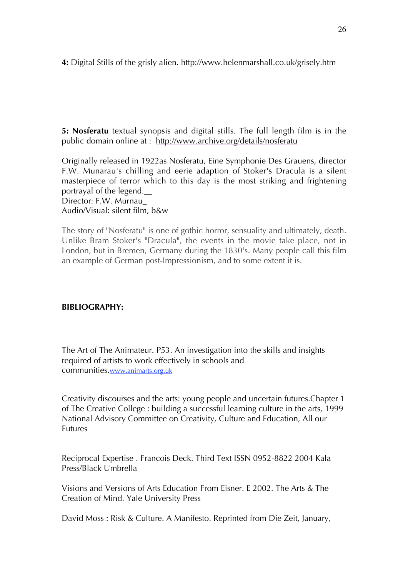**4:** Digital Stills of the grisly alien. http://www.helenmarshall.co.uk/grisely.htm

**5: Nosferatu** textual synopsis and digital stills. The full length film is in the public domain online at : http://www.archive.org/details/nosferatu

Originally released in 1922as Nosferatu, Eine Symphonie Des Grauens, director F.W. Munarau's chilling and eerie adaption of Stoker's Dracula is a silent masterpiece of terror which to this day is the most striking and frightening portrayal of the legend.\_\_

Director: F.W. Murnau\_ Audio/Visual: silent film, b&w

The story of "Nosferatu" is one of gothic horror, sensuality and ultimately, death. Unlike Bram Stoker's "Dracula", the events in the movie take place, not in London, but in Bremen, Germany during the 1830's. Many people call this film an example of German post-Impressionism, and to some extent it is.

## **BIBLIOGRAPHY:**

The Art of The Animateur. P53. An investigation into the skills and insights required of artists to work effectively in schools and communities.www.animarts.org.uk

Creativity discourses and the arts: young people and uncertain futures.Chapter 1 of The Creative College : building a successful learning culture in the arts, 1999 National Advisory Committee on Creativity, Culture and Education, All our **Futures** 

Reciprocal Expertise . Francois Deck. Third Text ISSN 0952-8822 2004 Kala Press/Black Umbrella

Visions and Versions of Arts Education From Eisner. E 2002. The Arts & The Creation of Mind. Yale University Press

David Moss : Risk & Culture. A Manifesto. Reprinted from Die Zeit, January,